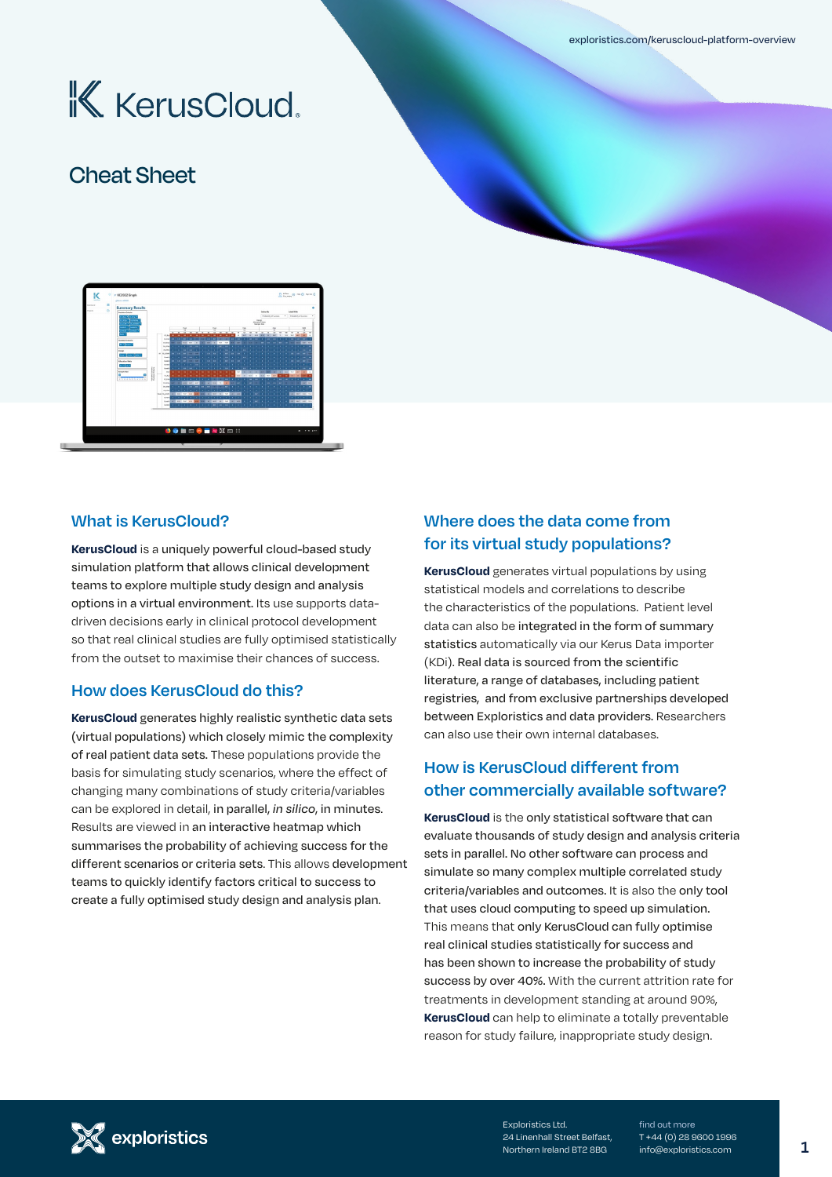[exploristics.com/keruscloud-platform-overview](http://exploristics.com/keruscloud-platform-overview)

# **K** KerusCloud.

# Cheat Sheet



### **What is KerusCloud?**

**KerusCloud** is a uniquely powerful cloud-based study simulation platform that allows clinical development teams to explore multiple study design and analysis options in a virtual environment. Its use supports datadriven decisions early in clinical protocol development so that real clinical studies are fully optimised statistically from the outset to maximise their chances of success.

#### **How does KerusCloud do this?**

**KerusCloud** generates highly realistic synthetic data sets (virtual populations) which closely mimic the complexity of real patient data sets. These populations provide the basis for simulating study scenarios, where the effect of changing many combinations of study criteria/variables can be explored in detail, in parallel, *in silico*, in minutes. Results are viewed in an interactive heatmap which summarises the probability of achieving success for the different scenarios or criteria sets. This allows development teams to quickly identify factors critical to success to create a fully optimised study design and analysis plan.

### **Where does the data come from for its virtual study populations?**

**KerusCloud** generates virtual populations by using statistical models and correlations to describe the characteristics of the populations. Patient level data can also be integrated in the form of summary statistics automatically via our Kerus Data importer (KDi). Real data is sourced from the scientific literature, a range of databases, including patient registries, and from exclusive partnerships developed between Exploristics and data providers. Researchers can also use their own internal databases.

### **How is KerusCloud different from other commercially available software?**

**KerusCloud** is the only statistical software that can evaluate thousands of study design and analysis criteria sets in parallel. No other software can process and simulate so many complex multiple correlated study criteria/variables and outcomes. It is also the only tool that uses cloud computing to speed up simulation. This means that only KerusCloud can fully optimise real clinical studies statistically for success and has been shown to increase the probability of study success by over 40%. With the current attrition rate for treatments in development standing at around 90%, **KerusCloud** can help to eliminate a totally preventable reason for study failure, inappropriate study design.



Exploristics Ltd. 24 Linenhall Street Belfast, Northern Ireland BT2 8BG